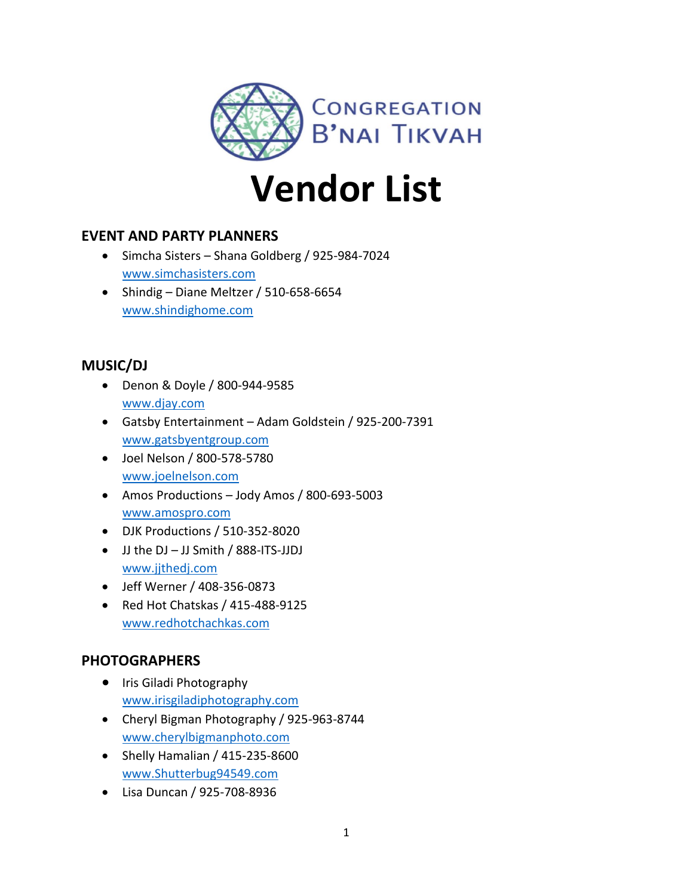

# **Vendor List**

## **EVENT AND PARTY PLANNERS**

- Simcha Sisters Shana Goldberg / 925-984-7024 [www.simchasisters.com](http://www.simchasisters.com/)
- Shindig Diane Meltzer / 510-658-6654 [www.shindighome.com](http://www.shindighome.com/)

## **MUSIC/DJ**

- Denon & Doyle / 800-944-9585 [www.djay.com](http://www.djay.com/)
- Gatsby Entertainment Adam Goldstein / 925-200-7391 [www.gatsbyentgroup.com](http://www.gatsbyentgroup.com/)
- Joel Nelson / 800-578-5780 [www.joelnelson.com](http://www.joelnelson.com/)
- Amos Productions Jody Amos / 800-693-5003 [www.amospro.com](http://www.amospro.com/)
- DJK Productions / 510-352-8020
- JJ the DJ JJ Smith / 888-ITS-JJDJ [www.jjthedj.com](http://www.jjthedj.com/)
- Jeff Werner / 408-356-0873
- Red Hot Chatskas / 415-488-9125 [www.redhotchachkas.com](http://www.redhotchachkas.com/)

## **PHOTOGRAPHERS**

- Iris Giladi Photography [www.irisgiladiphotography.com](http://www.irisgiladiphotography.com/)
- Cheryl Bigman Photography / 925-963-8744 [www.cherylbigmanphoto.com](http://www.cherylbigmanphoto.com/)
- Shelly Hamalian / 415-235-8600 [www.Shutterbug94549.com](http://www.shutterbug94549.com/)
- Lisa Duncan / 925-708-8936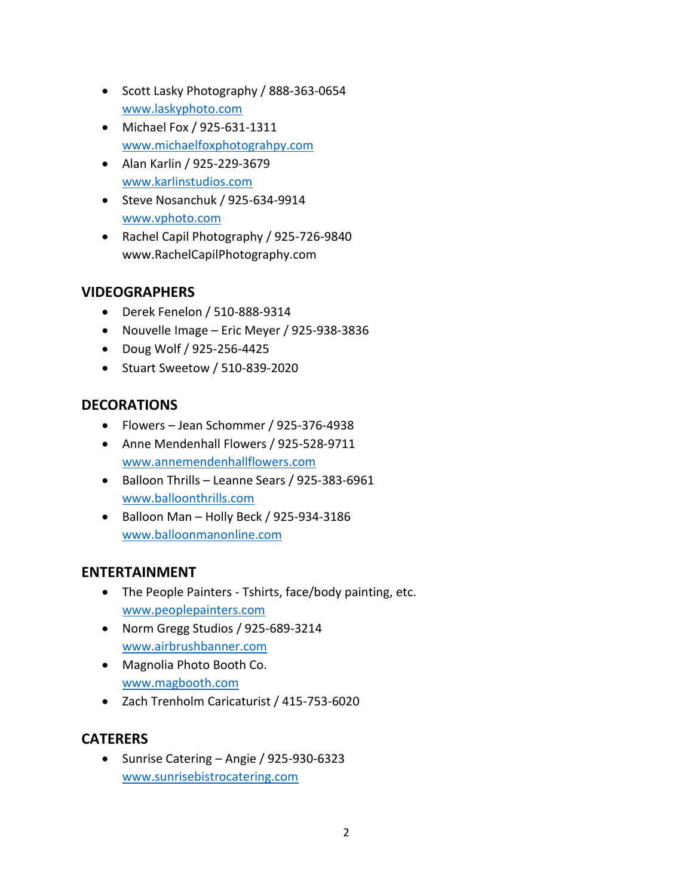- Scott Lasky Photography / 888-363-0654 [www.laskyphoto.com](http://www.laskyphoto.com/)
- Michael Fox / 925-631-1311 [www.michaelfoxphotograhpy.com](http://www.michaelfoxphotograhpy.com/)
- Alan Karlin / 925-229-3679 [www.karlinstudios.com](http://www.karlinstudios.com/)
- Steve Nosanchuk / 925-634-9914 [www.vphoto.com](http://www.vphoto.com/)
- Rachel Capil Photography / 925-726-9840 www.RachelCapilPhotography.com

## **VIDEOGRAPHERS**

- Derek Fenelon / 510-888-9314
- Nouvelle Image Eric Meyer / 925-938-3836
- Doug Wolf / 925-256-4425
- Stuart Sweetow / 510-839-2020

# **DECORATIONS**

- Flowers Jean Schommer / 925-376-4938
- Anne Mendenhall Flowers / 925-528-9711 [www.annemendenhallflowers.com](http://www.annemendenhallflowers.com/)
- Balloon Thrills Leanne Sears / 925-383-6961 [www.balloonthrills.com](http://www.balloonthrills.com/)
- Balloon Man Holly Beck / 925-934-3186 [www.balloonmanonline.com](http://www.balloonmanonline.com/)

## **ENTERTAINMENT**

- The People Painters Tshirts, face/body painting, etc. [www.peoplepainters.com](http://www.peoplepainters.com/)
- Norm Gregg Studios / 925-689-3214 [www.airbrushbanner.com](http://www.airbrushbanner.com/)
- Magnolia Photo Booth Co. [www.magbooth.com](http://www.magbooth.com/)
- Zach Trenholm Caricaturist / 415-753-6020

# **CATERERS**

• Sunrise Catering – Angie / 925-930-6323 [www.sunrisebistrocatering.com](http://www.sunrisebistrocatering.com/)